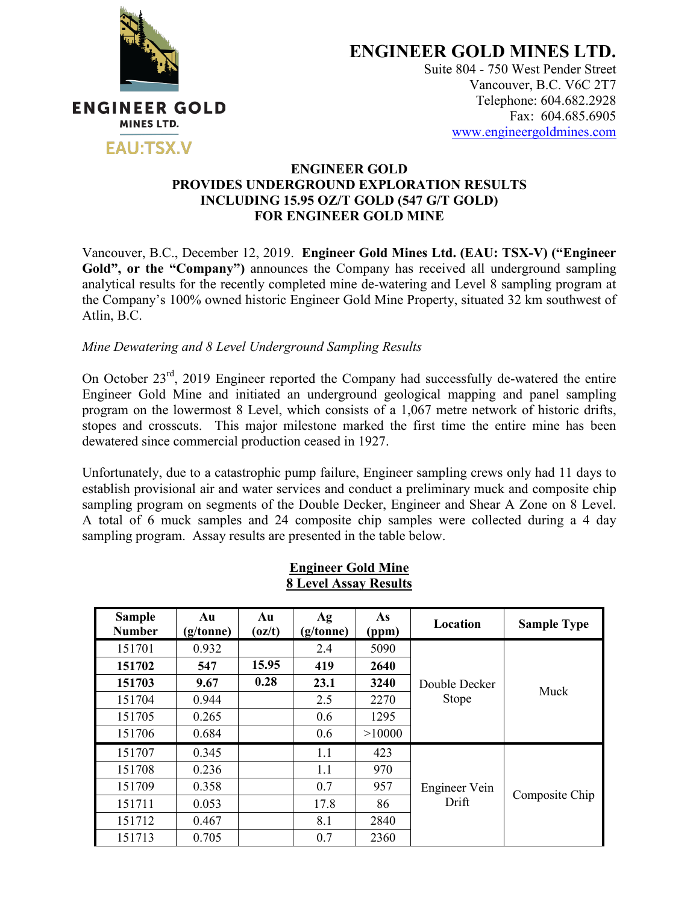

**ENGINEER GOLD MINES LTD.**

Suite 804 - 750 West Pender Street Vancouver, B.C. V6C 2T7 Telephone: 604.682.2928 Fax: 604.685.6905 www.engineergoldmines.com

### **ENGINEER GOLD PROVIDES UNDERGROUND EXPLORATION RESULTS INCLUDING 15.95 OZ/T GOLD (547 G/T GOLD) FOR ENGINEER GOLD MINE**

Vancouver, B.C., December 12, 2019. **Engineer Gold Mines Ltd. (EAU: TSX-V) ("Engineer**  Gold", or the "Company") announces the Company has received all underground sampling analytical results for the recently completed mine de-watering and Level 8 sampling program at the Company's 100% owned historic Engineer Gold Mine Property, situated 32 km southwest of Atlin, B.C.

# *Mine Dewatering and 8 Level Underground Sampling Results*

On October 23<sup>rd</sup>, 2019 Engineer reported the Company had successfully de-watered the entire Engineer Gold Mine and initiated an underground geological mapping and panel sampling program on the lowermost 8 Level, which consists of a 1,067 metre network of historic drifts, stopes and crosscuts. This major milestone marked the first time the entire mine has been dewatered since commercial production ceased in 1927.

Unfortunately, due to a catastrophic pump failure, Engineer sampling crews only had 11 days to establish provisional air and water services and conduct a preliminary muck and composite chip sampling program on segments of the Double Decker, Engineer and Shear A Zone on 8 Level. A total of 6 muck samples and 24 composite chip samples were collected during a 4 day sampling program. Assay results are presented in the table below.

| <b>Sample</b><br><b>Number</b> | Au<br>(g/tonne) | Au<br>(oz/t) | Ag<br>(g/tonne) | As<br>(ppm) | Location                      | <b>Sample Type</b> |
|--------------------------------|-----------------|--------------|-----------------|-------------|-------------------------------|--------------------|
| 151701                         | 0.932           |              | 2.4             | 5090        | Double Decker<br><b>Stope</b> | Muck               |
| 151702                         | 547             | 15.95        | 419             | 2640        |                               |                    |
| 151703                         | 9.67            | 0.28         | 23.1            | 3240        |                               |                    |
| 151704                         | 0.944           |              | 2.5             | 2270        |                               |                    |
| 151705                         | 0.265           |              | 0.6             | 1295        |                               |                    |
| 151706                         | 0.684           |              | 0.6             | >10000      |                               |                    |
| 151707                         | 0.345           |              | 1.1             | 423         | Engineer Vein<br>Drift        | Composite Chip     |
| 151708                         | 0.236           |              | 1.1             | 970         |                               |                    |
| 151709                         | 0.358           |              | 0.7             | 957         |                               |                    |
| 151711                         | 0.053           |              | 17.8            | 86          |                               |                    |
| 151712                         | 0.467           |              | 8.1             | 2840        |                               |                    |
| 151713                         | 0.705           |              | 0.7             | 2360        |                               |                    |

**Engineer Gold Mine 8 Level Assay Results**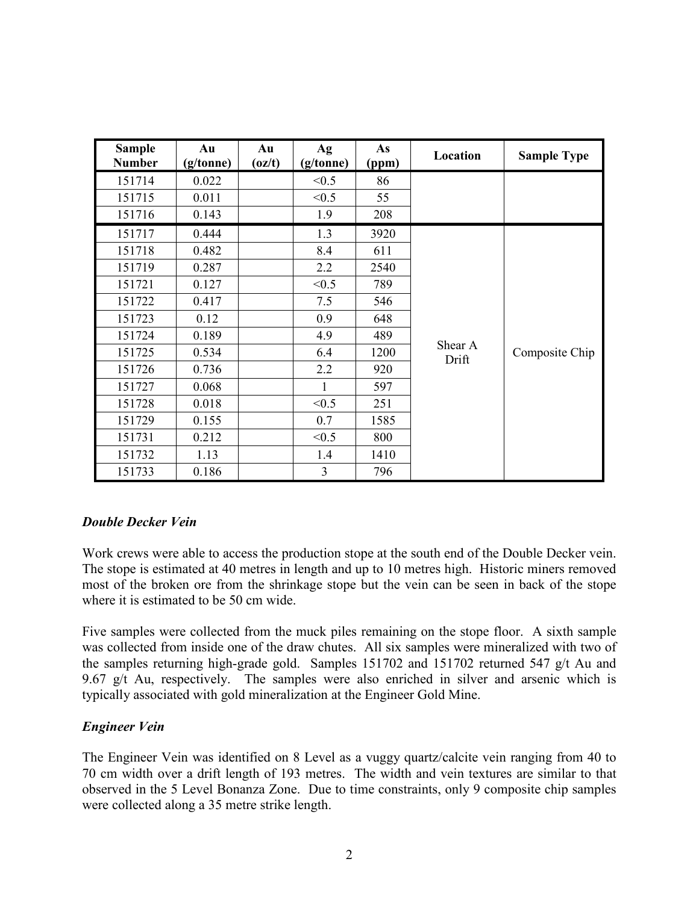| <b>Sample</b><br><b>Number</b> | Au<br>(g/tonne) | Au<br>$\left( \frac{\mathrm{d}}{\mathrm{d}t} \right)$ | Ag<br>(g/tonne) | As<br>(ppm) | Location         | <b>Sample Type</b> |
|--------------------------------|-----------------|-------------------------------------------------------|-----------------|-------------|------------------|--------------------|
| 151714                         | 0.022           |                                                       | < 0.5           | 86          |                  |                    |
| 151715                         | 0.011           |                                                       | < 0.5           | 55          |                  |                    |
| 151716                         | 0.143           |                                                       | 1.9             | 208         |                  |                    |
| 151717                         | 0.444           |                                                       | 1.3             | 3920        |                  |                    |
| 151718                         | 0.482           |                                                       | 8.4             | 611         |                  |                    |
| 151719                         | 0.287           |                                                       | 2.2             | 2540        |                  |                    |
| 151721                         | 0.127           |                                                       | < 0.5           | 789         |                  |                    |
| 151722                         | 0.417           |                                                       | 7.5             | 546         |                  |                    |
| 151723                         | 0.12            |                                                       | 0.9             | 648         |                  |                    |
| 151724                         | 0.189           |                                                       | 4.9             | 489         | Shear A<br>Drift | Composite Chip     |
| 151725                         | 0.534           |                                                       | 6.4             | 1200        |                  |                    |
| 151726                         | 0.736           |                                                       | 2.2             | 920         |                  |                    |
| 151727                         | 0.068           |                                                       | 1               | 597         |                  |                    |
| 151728                         | 0.018           |                                                       | < 0.5           | 251         |                  |                    |
| 151729                         | 0.155           |                                                       | 0.7             | 1585        |                  |                    |
| 151731                         | 0.212           |                                                       | < 0.5           | 800         |                  |                    |
| 151732                         | 1.13            |                                                       | 1.4             | 1410        |                  |                    |
| 151733                         | 0.186           |                                                       | 3               | 796         |                  |                    |

# *Double Decker Vein*

Work crews were able to access the production stope at the south end of the Double Decker vein. The stope is estimated at 40 metres in length and up to 10 metres high. Historic miners removed most of the broken ore from the shrinkage stope but the vein can be seen in back of the stope where it is estimated to be 50 cm wide.

Five samples were collected from the muck piles remaining on the stope floor. A sixth sample was collected from inside one of the draw chutes. All six samples were mineralized with two of the samples returning high-grade gold. Samples 151702 and 151702 returned 547 g/t Au and 9.67 g/t Au, respectively. The samples were also enriched in silver and arsenic which is typically associated with gold mineralization at the Engineer Gold Mine.

### *Engineer Vein*

The Engineer Vein was identified on 8 Level as a vuggy quartz/calcite vein ranging from 40 to 70 cm width over a drift length of 193 metres. The width and vein textures are similar to that observed in the 5 Level Bonanza Zone. Due to time constraints, only 9 composite chip samples were collected along a 35 metre strike length.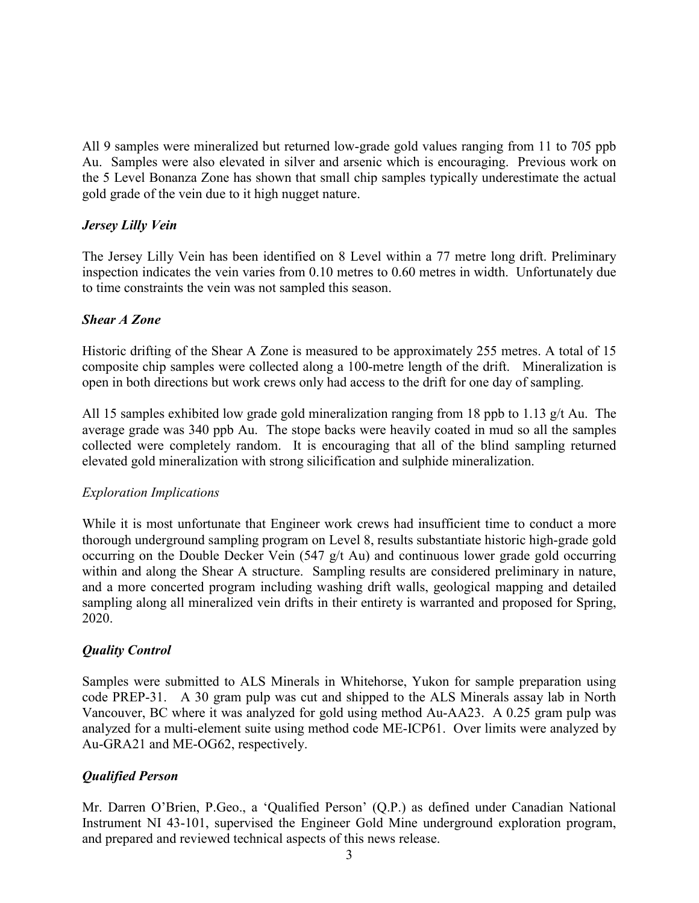All 9 samples were mineralized but returned low-grade gold values ranging from 11 to 705 ppb Au. Samples were also elevated in silver and arsenic which is encouraging. Previous work on the 5 Level Bonanza Zone has shown that small chip samples typically underestimate the actual gold grade of the vein due to it high nugget nature.

## *Jersey Lilly Vein*

The Jersey Lilly Vein has been identified on 8 Level within a 77 metre long drift. Preliminary inspection indicates the vein varies from 0.10 metres to 0.60 metres in width. Unfortunately due to time constraints the vein was not sampled this season.

### *Shear A Zone*

Historic drifting of the Shear A Zone is measured to be approximately 255 metres. A total of 15 composite chip samples were collected along a 100-metre length of the drift. Mineralization is open in both directions but work crews only had access to the drift for one day of sampling.

All 15 samples exhibited low grade gold mineralization ranging from 18 ppb to 1.13 g/t Au. The average grade was 340 ppb Au. The stope backs were heavily coated in mud so all the samples collected were completely random. It is encouraging that all of the blind sampling returned elevated gold mineralization with strong silicification and sulphide mineralization.

### *Exploration Implications*

While it is most unfortunate that Engineer work crews had insufficient time to conduct a more thorough underground sampling program on Level 8, results substantiate historic high-grade gold occurring on the Double Decker Vein (547 g/t Au) and continuous lower grade gold occurring within and along the Shear A structure. Sampling results are considered preliminary in nature, and a more concerted program including washing drift walls, geological mapping and detailed sampling along all mineralized vein drifts in their entirety is warranted and proposed for Spring, 2020.

# *Quality Control*

Samples were submitted to ALS Minerals in Whitehorse, Yukon for sample preparation using code PREP-31. A 30 gram pulp was cut and shipped to the ALS Minerals assay lab in North Vancouver, BC where it was analyzed for gold using method Au-AA23. A 0.25 gram pulp was analyzed for a multi-element suite using method code ME-ICP61. Over limits were analyzed by Au-GRA21 and ME-OG62, respectively.

# *Qualified Person*

Mr. Darren O'Brien, P.Geo., a 'Qualified Person' (Q.P.) as defined under Canadian National Instrument NI 43-101, supervised the Engineer Gold Mine underground exploration program, and prepared and reviewed technical aspects of this news release.